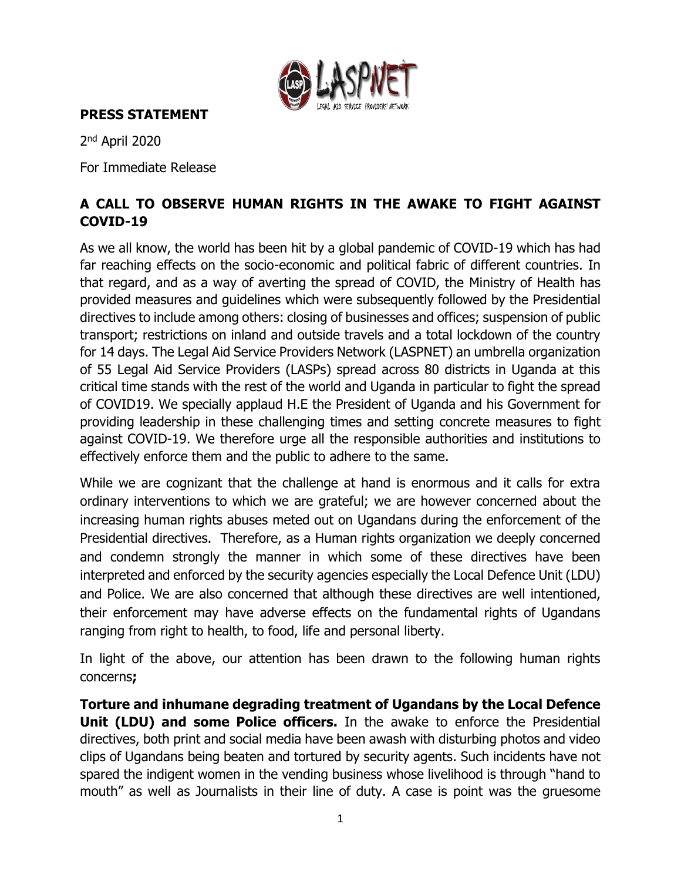

**PRESS STATEMENT**

2<sup>nd</sup> April 2020

For Immediate Release

# **A CALL TO OBSERVE HUMAN RIGHTS IN THE AWAKE TO FIGHT AGAINST COVID-19**

As we all know, the world has been hit by a global pandemic of COVID-19 which has had far reaching effects on the socio-economic and political fabric of different countries. In that regard, and as a way of averting the spread of COVID, the Ministry of Health has provided measures and guidelines which were subsequently followed by the Presidential directives to include among others: closing of businesses and offices; suspension of public transport; restrictions on inland and outside travels and a total lockdown of the country for 14 days. The Legal Aid Service Providers Network (LASPNET) an umbrella organization of 55 Legal Aid Service Providers (LASPs) spread across 80 districts in Uganda at this critical time stands with the rest of the world and Uganda in particular to fight the spread of COVID19. We specially applaud H.E the President of Uganda and his Government for providing leadership in these challenging times and setting concrete measures to fight against COVID-19. We therefore urge all the responsible authorities and institutions to effectively enforce them and the public to adhere to the same.

While we are cognizant that the challenge at hand is enormous and it calls for extra ordinary interventions to which we are grateful; we are however concerned about the increasing human rights abuses meted out on Ugandans during the enforcement of the Presidential directives. Therefore, as a Human rights organization we deeply concerned and condemn strongly the manner in which some of these directives have been interpreted and enforced by the security agencies especially the Local Defence Unit (LDU) and Police. We are also concerned that although these directives are well intentioned, their enforcement may have adverse effects on the fundamental rights of Ugandans ranging from right to health, to food, life and personal liberty.

In light of the above, our attention has been drawn to the following human rights concerns**;** 

**Torture and inhumane degrading treatment of Ugandans by the Local Defence Unit (LDU) and some Police officers.** In the awake to enforce the Presidential directives, both print and social media have been awash with disturbing photos and video clips of Ugandans being beaten and tortured by security agents. Such incidents have not spared the indigent women in the vending business whose livelihood is through "hand to mouth" as well as Journalists in their line of duty. A case is point was the gruesome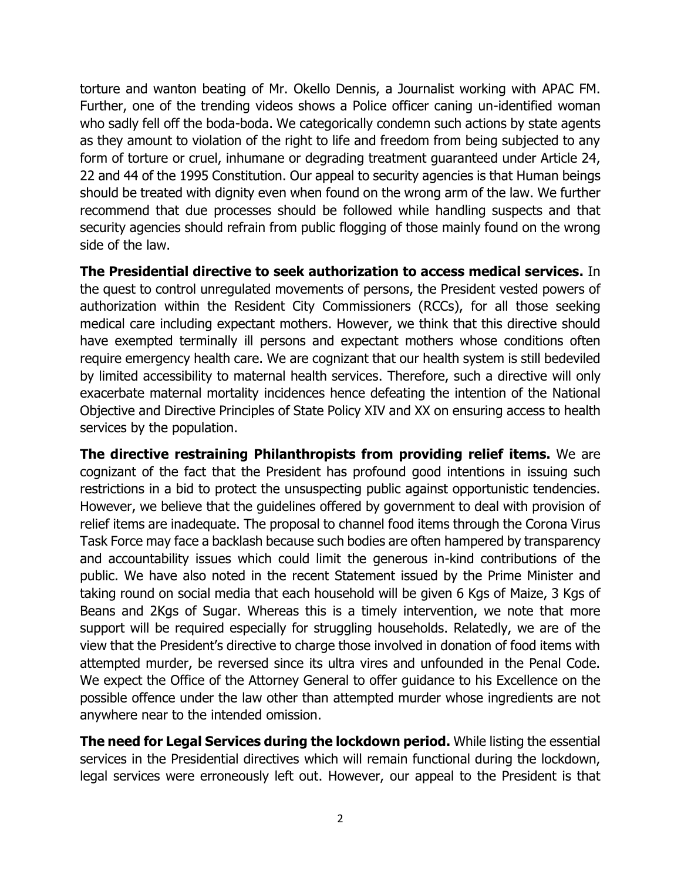torture and wanton beating of Mr. Okello Dennis, a Journalist working with APAC FM. Further, one of the trending videos shows a Police officer caning un-identified woman who sadly fell off the boda-boda. We categorically condemn such actions by state agents as they amount to violation of the right to life and freedom from being subjected to any form of torture or cruel, inhumane or degrading treatment guaranteed under Article 24, 22 and 44 of the 1995 Constitution. Our appeal to security agencies is that Human beings should be treated with dignity even when found on the wrong arm of the law. We further recommend that due processes should be followed while handling suspects and that security agencies should refrain from public flogging of those mainly found on the wrong side of the law.

**The Presidential directive to seek authorization to access medical services.** In the quest to control unregulated movements of persons, the President vested powers of authorization within the Resident City Commissioners (RCCs), for all those seeking medical care including expectant mothers. However, we think that this directive should have exempted terminally ill persons and expectant mothers whose conditions often require emergency health care. We are cognizant that our health system is still bedeviled by limited accessibility to maternal health services. Therefore, such a directive will only exacerbate maternal mortality incidences hence defeating the intention of the National Objective and Directive Principles of State Policy XIV and XX on ensuring access to health services by the population.

**The directive restraining Philanthropists from providing relief items.** We are cognizant of the fact that the President has profound good intentions in issuing such restrictions in a bid to protect the unsuspecting public against opportunistic tendencies. However, we believe that the guidelines offered by government to deal with provision of relief items are inadequate. The proposal to channel food items through the Corona Virus Task Force may face a backlash because such bodies are often hampered by transparency and accountability issues which could limit the generous in-kind contributions of the public. We have also noted in the recent Statement issued by the Prime Minister and taking round on social media that each household will be given 6 Kgs of Maize, 3 Kgs of Beans and 2Kgs of Sugar. Whereas this is a timely intervention, we note that more support will be required especially for struggling households. Relatedly, we are of the view that the President's directive to charge those involved in donation of food items with attempted murder, be reversed since its ultra vires and unfounded in the Penal Code. We expect the Office of the Attorney General to offer guidance to his Excellence on the possible offence under the law other than attempted murder whose ingredients are not anywhere near to the intended omission.

**The need for Legal Services during the lockdown period.** While listing the essential services in the Presidential directives which will remain functional during the lockdown, legal services were erroneously left out. However, our appeal to the President is that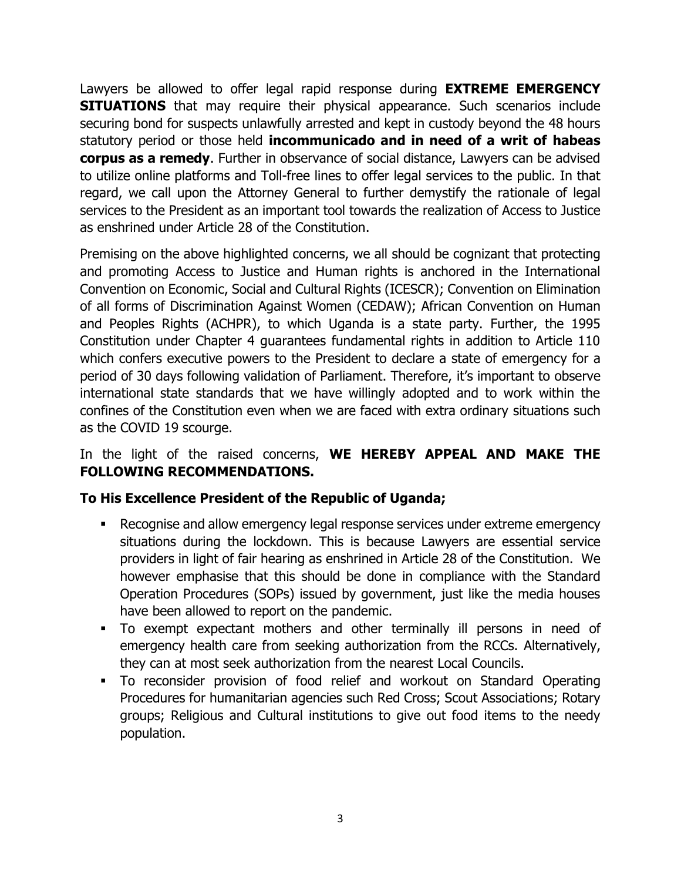Lawyers be allowed to offer legal rapid response during **EXTREME EMERGENCY SITUATIONS** that may require their physical appearance. Such scenarios include securing bond for suspects unlawfully arrested and kept in custody beyond the 48 hours statutory period or those held **incommunicado and in need of a writ of habeas corpus as a remedy**. Further in observance of social distance, Lawyers can be advised to utilize online platforms and Toll-free lines to offer legal services to the public. In that regard, we call upon the Attorney General to further demystify the rationale of legal services to the President as an important tool towards the realization of Access to Justice as enshrined under Article 28 of the Constitution.

Premising on the above highlighted concerns, we all should be cognizant that protecting and promoting Access to Justice and Human rights is anchored in the International Convention on Economic, Social and Cultural Rights (ICESCR); Convention on Elimination of all forms of Discrimination Against Women (CEDAW); African Convention on Human and Peoples Rights (ACHPR), to which Uganda is a state party. Further, the 1995 Constitution under Chapter 4 guarantees fundamental rights in addition to Article 110 which confers executive powers to the President to declare a state of emergency for a period of 30 days following validation of Parliament. Therefore, it's important to observe international state standards that we have willingly adopted and to work within the confines of the Constitution even when we are faced with extra ordinary situations such as the COVID 19 scourge.

## In the light of the raised concerns, **WE HEREBY APPEAL AND MAKE THE FOLLOWING RECOMMENDATIONS.**

### **To His Excellence President of the Republic of Uganda;**

- Recognise and allow emergency legal response services under extreme emergency situations during the lockdown. This is because Lawyers are essential service providers in light of fair hearing as enshrined in Article 28 of the Constitution. We however emphasise that this should be done in compliance with the Standard Operation Procedures (SOPs) issued by government, just like the media houses have been allowed to report on the pandemic.
- To exempt expectant mothers and other terminally ill persons in need of emergency health care from seeking authorization from the RCCs. Alternatively, they can at most seek authorization from the nearest Local Councils.
- To reconsider provision of food relief and workout on Standard Operating Procedures for humanitarian agencies such Red Cross; Scout Associations; Rotary groups; Religious and Cultural institutions to give out food items to the needy population.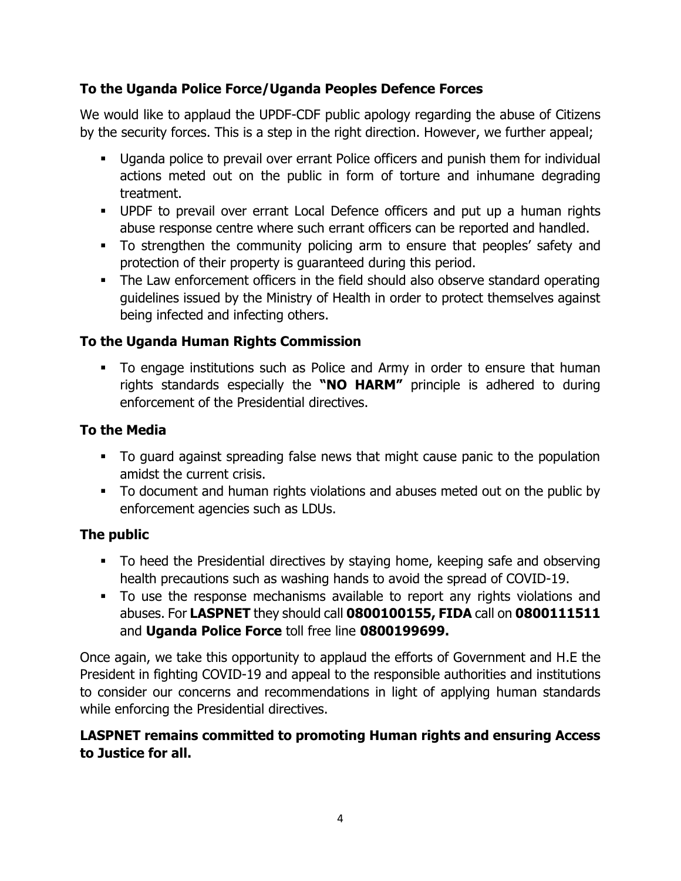## **To the Uganda Police Force/Uganda Peoples Defence Forces**

We would like to applaud the UPDF-CDF public apology regarding the abuse of Citizens by the security forces. This is a step in the right direction. However, we further appeal;

- **■** Uganda police to prevail over errant Police officers and punish them for individual actions meted out on the public in form of torture and inhumane degrading treatment.
- **■** UPDF to prevail over errant Local Defence officers and put up a human rights abuse response centre where such errant officers can be reported and handled.
- To strengthen the community policing arm to ensure that peoples' safety and protection of their property is guaranteed during this period.
- The Law enforcement officers in the field should also observe standard operating guidelines issued by the Ministry of Health in order to protect themselves against being infected and infecting others.

## **To the Uganda Human Rights Commission**

▪ To engage institutions such as Police and Army in order to ensure that human rights standards especially the **"NO HARM"** principle is adhered to during enforcement of the Presidential directives.

### **To the Media**

- To guard against spreading false news that might cause panic to the population amidst the current crisis.
- To document and human rights violations and abuses meted out on the public by enforcement agencies such as LDUs.

### **The public**

- **•** To heed the Presidential directives by staying home, keeping safe and observing health precautions such as washing hands to avoid the spread of COVID-19.
- To use the response mechanisms available to report any rights violations and abuses. For **LASPNET** they should call **0800100155, FIDA** call on **0800111511** and **Uganda Police Force** toll free line **0800199699.**

Once again, we take this opportunity to applaud the efforts of Government and H.E the President in fighting COVID-19 and appeal to the responsible authorities and institutions to consider our concerns and recommendations in light of applying human standards while enforcing the Presidential directives.

### **LASPNET remains committed to promoting Human rights and ensuring Access to Justice for all.**